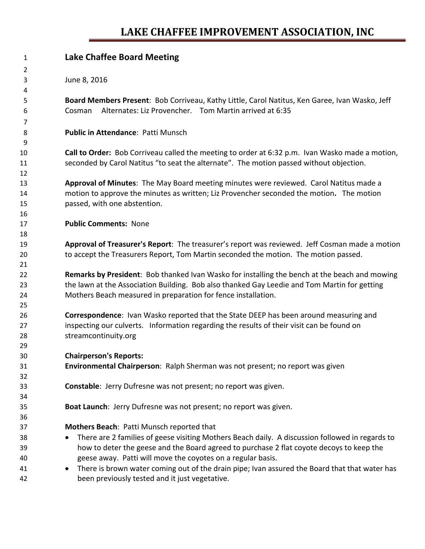## **LAKE CHAFFEE IMPROVEMENT ASSOCIATION, INC**

| 1              | <b>Lake Chaffee Board Meeting</b>                                                               |  |  |  |  |  |  |
|----------------|-------------------------------------------------------------------------------------------------|--|--|--|--|--|--|
| $\overline{2}$ |                                                                                                 |  |  |  |  |  |  |
| 3              | June 8, 2016                                                                                    |  |  |  |  |  |  |
| 4              |                                                                                                 |  |  |  |  |  |  |
| 5              | Board Members Present: Bob Corriveau, Kathy Little, Carol Natitus, Ken Garee, Ivan Wasko, Jeff  |  |  |  |  |  |  |
| 6              | Alternates: Liz Provencher. Tom Martin arrived at 6:35<br>Cosman                                |  |  |  |  |  |  |
| 7              |                                                                                                 |  |  |  |  |  |  |
| 8              | <b>Public in Attendance: Patti Munsch</b>                                                       |  |  |  |  |  |  |
| 9              |                                                                                                 |  |  |  |  |  |  |
| 10             | Call to Order: Bob Corriveau called the meeting to order at 6:32 p.m. Ivan Wasko made a motion, |  |  |  |  |  |  |
| 11             | seconded by Carol Natitus "to seat the alternate". The motion passed without objection.         |  |  |  |  |  |  |
| 12             |                                                                                                 |  |  |  |  |  |  |
| 13             | Approval of Minutes: The May Board meeting minutes were reviewed. Carol Natitus made a          |  |  |  |  |  |  |
| 14             | motion to approve the minutes as written; Liz Provencher seconded the motion. The motion        |  |  |  |  |  |  |
| 15             | passed, with one abstention.                                                                    |  |  |  |  |  |  |
| 16             |                                                                                                 |  |  |  |  |  |  |
| 17             | <b>Public Comments: None</b>                                                                    |  |  |  |  |  |  |
| 18             |                                                                                                 |  |  |  |  |  |  |
| 19             | Approval of Treasurer's Report: The treasurer's report was reviewed. Jeff Cosman made a motion  |  |  |  |  |  |  |
| 20             | to accept the Treasurers Report, Tom Martin seconded the motion. The motion passed.             |  |  |  |  |  |  |
| 21             |                                                                                                 |  |  |  |  |  |  |
| 22             | Remarks by President: Bob thanked Ivan Wasko for installing the bench at the beach and mowing   |  |  |  |  |  |  |
| 23             | the lawn at the Association Building. Bob also thanked Gay Leedie and Tom Martin for getting    |  |  |  |  |  |  |
| 24             | Mothers Beach measured in preparation for fence installation.                                   |  |  |  |  |  |  |
| 25             |                                                                                                 |  |  |  |  |  |  |
| 26             | Correspondence: Ivan Wasko reported that the State DEEP has been around measuring and           |  |  |  |  |  |  |
| 27             | inspecting our culverts. Information regarding the results of their visit can be found on       |  |  |  |  |  |  |
| 28             | streamcontinuity.org                                                                            |  |  |  |  |  |  |
| 29             |                                                                                                 |  |  |  |  |  |  |
| 30             | <b>Chairperson's Reports:</b>                                                                   |  |  |  |  |  |  |
| 31             | Environmental Chairperson: Ralph Sherman was not present; no report was given                   |  |  |  |  |  |  |
| 32             |                                                                                                 |  |  |  |  |  |  |
| 33             | Constable: Jerry Dufresne was not present; no report was given.                                 |  |  |  |  |  |  |
| 34             |                                                                                                 |  |  |  |  |  |  |
| 35             | Boat Launch: Jerry Dufresne was not present; no report was given.                               |  |  |  |  |  |  |
| 36             |                                                                                                 |  |  |  |  |  |  |
| 37             | Mothers Beach: Patti Munsch reported that                                                       |  |  |  |  |  |  |
| 38             | There are 2 families of geese visiting Mothers Beach daily. A discussion followed in regards to |  |  |  |  |  |  |
| 39             | how to deter the geese and the Board agreed to purchase 2 flat coyote decoys to keep the        |  |  |  |  |  |  |
| 40             | geese away. Patti will move the coyotes on a regular basis.                                     |  |  |  |  |  |  |
| 41             | There is brown water coming out of the drain pipe; Ivan assured the Board that that water has   |  |  |  |  |  |  |
| 42             | been previously tested and it just vegetative.                                                  |  |  |  |  |  |  |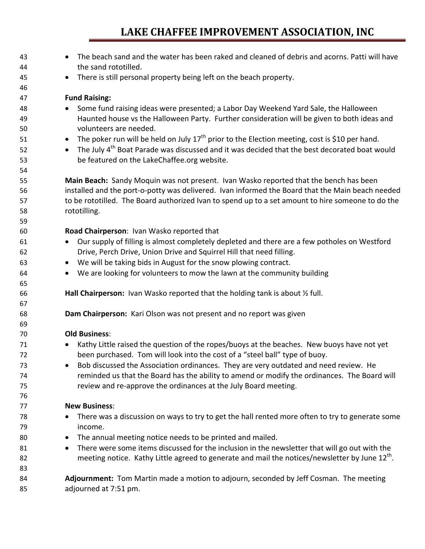## **LAKE CHAFFEE IMPROVEMENT ASSOCIATION, INC**

| 43<br>44 | The beach sand and the water has been raked and cleaned of debris and acorns. Patti will have<br>$\bullet$<br>the sand rototilled. |  |  |  |  |  |  |
|----------|------------------------------------------------------------------------------------------------------------------------------------|--|--|--|--|--|--|
|          |                                                                                                                                    |  |  |  |  |  |  |
| 45       | There is still personal property being left on the beach property.<br>$\bullet$                                                    |  |  |  |  |  |  |
| 46       | <b>Fund Raising:</b>                                                                                                               |  |  |  |  |  |  |
| 47       |                                                                                                                                    |  |  |  |  |  |  |
| 48       | Some fund raising ideas were presented; a Labor Day Weekend Yard Sale, the Halloween<br>$\bullet$                                  |  |  |  |  |  |  |
| 49       | Haunted house vs the Halloween Party. Further consideration will be given to both ideas and                                        |  |  |  |  |  |  |
| 50       | volunteers are needed.                                                                                                             |  |  |  |  |  |  |
| 51       | The poker run will be held on July $17^{th}$ prior to the Election meeting, cost is \$10 per hand.<br>$\bullet$                    |  |  |  |  |  |  |
| 52       | The July 4 <sup>th</sup> Boat Parade was discussed and it was decided that the best decorated boat would<br>$\bullet$              |  |  |  |  |  |  |
| 53       | be featured on the LakeChaffee.org website.                                                                                        |  |  |  |  |  |  |
| 54       |                                                                                                                                    |  |  |  |  |  |  |
| 55       | Main Beach: Sandy Moquin was not present. Ivan Wasko reported that the bench has been                                              |  |  |  |  |  |  |
| 56       | installed and the port-o-potty was delivered. Ivan informed the Board that the Main beach needed                                   |  |  |  |  |  |  |
| 57       | to be rototilled. The Board authorized Ivan to spend up to a set amount to hire someone to do the                                  |  |  |  |  |  |  |
| 58       | rototilling.                                                                                                                       |  |  |  |  |  |  |
| 59       |                                                                                                                                    |  |  |  |  |  |  |
| 60       | Road Chairperson: Ivan Wasko reported that                                                                                         |  |  |  |  |  |  |
| 61       | Our supply of filling is almost completely depleted and there are a few potholes on Westford<br>$\bullet$                          |  |  |  |  |  |  |
| 62       | Drive, Perch Drive, Union Drive and Squirrel Hill that need filling.                                                               |  |  |  |  |  |  |
| 63       | We will be taking bids in August for the snow plowing contract.<br>$\bullet$                                                       |  |  |  |  |  |  |
| 64       | We are looking for volunteers to mow the lawn at the community building<br>$\bullet$                                               |  |  |  |  |  |  |
| 65       |                                                                                                                                    |  |  |  |  |  |  |
| 66       | Hall Chairperson: Ivan Wasko reported that the holding tank is about 1/2 full.                                                     |  |  |  |  |  |  |
| 67       |                                                                                                                                    |  |  |  |  |  |  |
| 68       | Dam Chairperson: Kari Olson was not present and no report was given                                                                |  |  |  |  |  |  |
| 69       |                                                                                                                                    |  |  |  |  |  |  |
| 70       | <b>Old Business:</b>                                                                                                               |  |  |  |  |  |  |
| 71       | Kathy Little raised the question of the ropes/buoys at the beaches. New buoys have not yet                                         |  |  |  |  |  |  |
| 72       | been purchased. Tom will look into the cost of a "steel ball" type of buoy.                                                        |  |  |  |  |  |  |
| 73       | Bob discussed the Association ordinances. They are very outdated and need review. He<br>٠                                          |  |  |  |  |  |  |
| 74       | reminded us that the Board has the ability to amend or modify the ordinances. The Board will                                       |  |  |  |  |  |  |
| 75       | review and re-approve the ordinances at the July Board meeting.                                                                    |  |  |  |  |  |  |
| 76       |                                                                                                                                    |  |  |  |  |  |  |
| 77       | <b>New Business:</b>                                                                                                               |  |  |  |  |  |  |
| 78       | There was a discussion on ways to try to get the hall rented more often to try to generate some                                    |  |  |  |  |  |  |
| 79       | income.                                                                                                                            |  |  |  |  |  |  |
| 80       | The annual meeting notice needs to be printed and mailed.<br>$\bullet$                                                             |  |  |  |  |  |  |
| 81       | There were some items discussed for the inclusion in the newsletter that will go out with the<br>$\bullet$                         |  |  |  |  |  |  |
| 82       | meeting notice. Kathy Little agreed to generate and mail the notices/newsletter by June 12 <sup>th</sup> .                         |  |  |  |  |  |  |
| 83       |                                                                                                                                    |  |  |  |  |  |  |
| 84       | Adjournment: Tom Martin made a motion to adjourn, seconded by Jeff Cosman. The meeting                                             |  |  |  |  |  |  |
| 85       | adjourned at 7:51 pm.                                                                                                              |  |  |  |  |  |  |